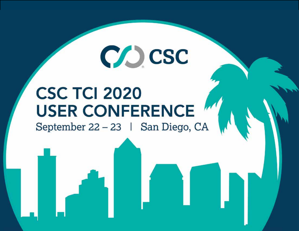## **CSC TCI 2020 USER CONFERENCE**

CO CSC

September 22 - 23 | San Diego, CA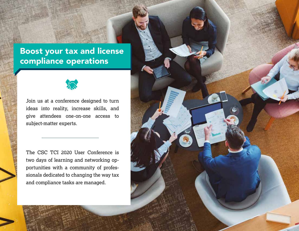#### Boost your tax and license compliance operations



Join us at a conference designed to turn ideas into reality, increase skills, and give attendees one-on-one access to subject-matter experts.

The CSC TCI 2020 User Conference is two days of learning and networking opportunities with a community of professionals dedicated to changing the way tax and compliance tasks are managed.

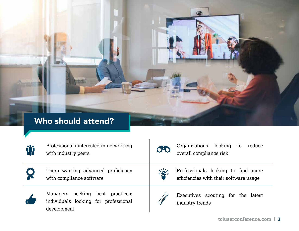#### Who should attend?

| <b>iji</b> | Professionals interested in networking<br>with industry peers                           | $O$ ° $O$                     | Organizations looking<br>reduce<br>to<br>overall compliance risk             |
|------------|-----------------------------------------------------------------------------------------|-------------------------------|------------------------------------------------------------------------------|
|            | Users wanting advanced proficiency<br>with compliance software                          | 学                             | Professionals looking to find more<br>efficiencies with their software usage |
|            | Managers seeking best practices;<br>individuals looking for professional<br>development | <b>C. Assistant Riverside</b> | Executives scouting for the latest<br>industry trends                        |



 $\bullet$ 

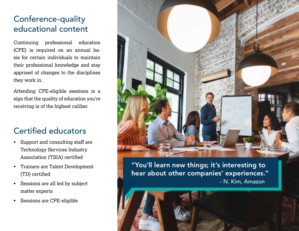#### Conference-quality educational content

Continuing professional education (CPE) is required on an annual basis for certain individuals to maintain their professional knowledge and stay apprised of changes to the disciplines they work in.

Attending CPE-eligible sessions is a sign that the quality of education you're receiving is of the highest caliber.

#### Certified educators

- Support and consulting staff are Technology Services Industry Association (TSIA) certified
- Trainers are Talent Development (TD) certified
- Sessions are all led by subject matter experts
- Sessions are CPE-eligible



- N. Kim, Amazon "You'll learn new things; it's interesting to hear about other companies' experiences."

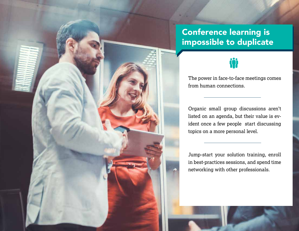#### Conference learning is impossible to duplicate

### **Til**

The power in face-to-face meetings comes from human connections.

Organic small group discussions aren't listed on an agenda, but their value is evident once a few people start discussing topics on a more personal level.

Jump-start your solution training, enroll in best-practices sessions, and spend time networking with other professionals.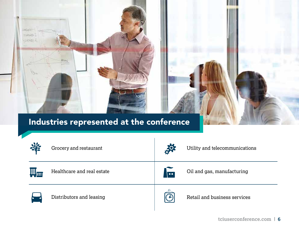#### Industries represented at the conference

**MOVAE** 7. association **CATALLE** 

**BROWN** 

|   | Grocery and restaurant     | 冷            | Utility and telecommunications |
|---|----------------------------|--------------|--------------------------------|
| E | Healthcare and real estate | $\sqrt{2}$   | Oil and gas, manufacturing     |
|   | Distributors and leasing   | $\mathbb{C}$ | Retail and business services   |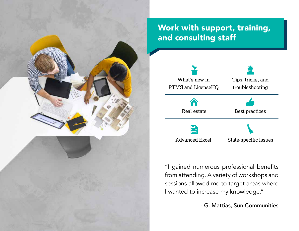

#### Work with support, training, and consulting staff



"I gained numerous professional benefits from attending. A variety of workshops and sessions allowed me to target areas where I wanted to increase my knowledge."

- G. Mattias, Sun Communities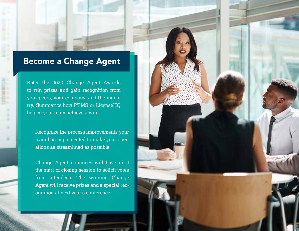#### Become a Change Agent

Enter the 2020 Change Agent Awards to win prizes and gain recognition from your peers, your company, and the industry. Summarize how PTMS or LicenseHQ helped your team achieve a win.

Recognize the process improvements your team has implemented to make your operations as streamlined as possible.

Change Agent nominees will have until the start of closing session to solicit votes from attendees. The winning Change Agent will receive prizes and a special recognition at next year's conference.

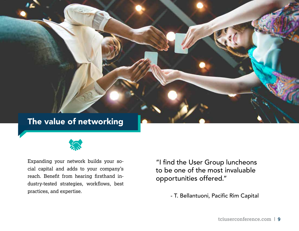#### The value of networking



Expanding your network builds your social capital and adds to your company's reach. Benefit from hearing firsthand industry-tested strategies, workflows, best practices, and expertise.<br>
T. Bellantuoni, Pacific Rim Capital

"I find the User Group luncheons to be one of the most invaluable opportunities offered."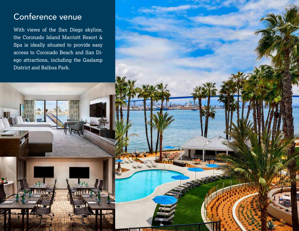#### Conference venue

With views of the San Diego skyline, the Coronado Island Marriott Resort & Spa is ideally situated to provide easy access to Coronado Beach and San Diego attractions, including the Gaslamp District and Balboa Park.

 $721$ 

 $\mathbf{v}$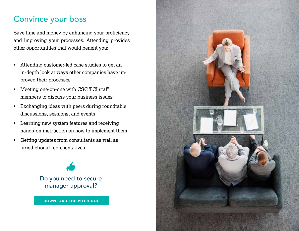#### Convince your boss

Save time and money by enhancing your proficiency and improving your processes. Attending provides other opportunities that would benefit you:

- Attending customer-led case studies to get an in-depth look at ways other companies have improved their processes
- Meeting one-on-one with CSC TCI staff members to discuss your business issues
- Exchanging ideas with peers during roundtable discussions, sessions, and events
- Learning new system features and receiving hands-on instruction on how to implement them
- Getting updates from consultants as well as jurisdictional representatives

Do you need to secure manager approval?

DOWNLOAD THE PITCH DOC